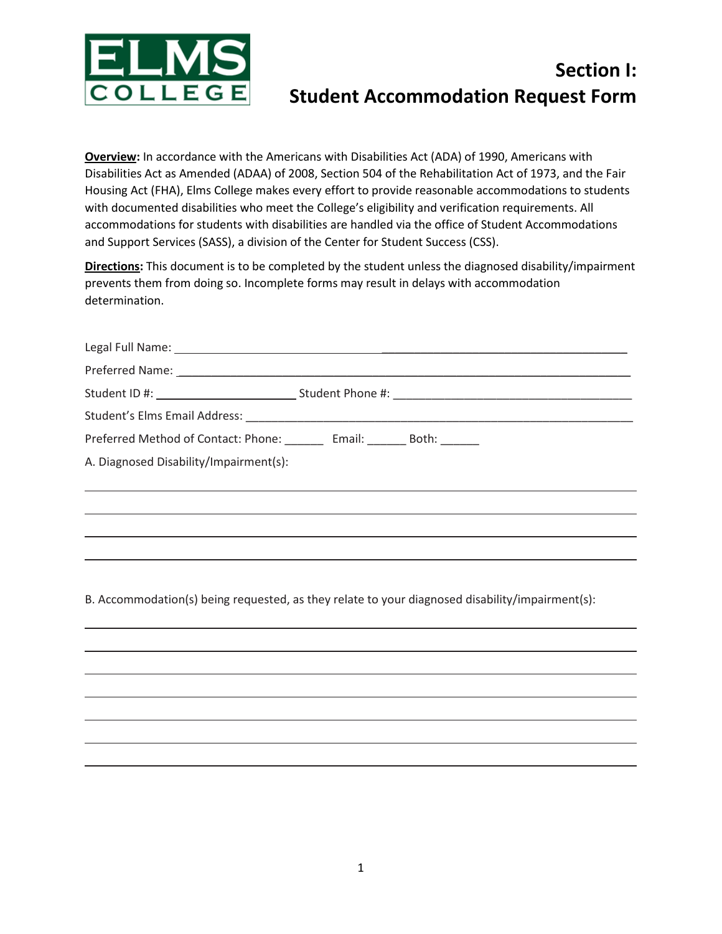

## **Section I: Student Accommodation Request Form**

**Overview:** In accordance with the Americans with Disabilities Act (ADA) of 1990, Americans with Disabilities Act as Amended (ADAA) of 2008, Section 504 of the Rehabilitation Act of 1973, and the Fair Housing Act (FHA), Elms College makes every effort to provide reasonable accommodations to students with documented disabilities who meet the College's eligibility and verification requirements. All accommodations for students with disabilities are handled via the office of Student Accommodations and Support Services (SASS), a division of the Center for Student Success (CSS).

**Directions:** This document is to be completed by the student unless the diagnosed disability/impairment prevents them from doing so. Incomplete forms may result in delays with accommodation determination.

| Preferred Method of Contact: Phone: _________ Email: ________ Both: _______ |  |
|-----------------------------------------------------------------------------|--|
| A. Diagnosed Disability/Impairment(s):                                      |  |
|                                                                             |  |
|                                                                             |  |
|                                                                             |  |
|                                                                             |  |

B. Accommodation(s) being requested, as they relate to your diagnosed disability/impairment(s):